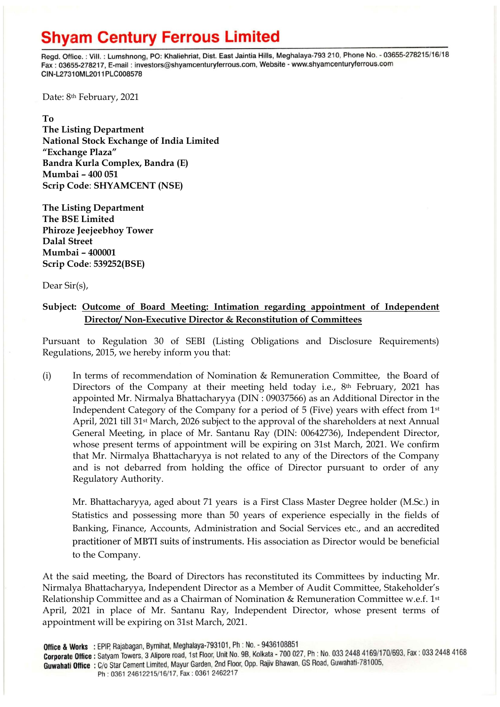## **Shyam Century Ferrous Limited**

Regd. Office.: Vill.: Lumshnong, PO: Khaliehriat, Dist. East Jaintia Hills, Meghalaya-793 210, Phone No. - 03655-278215/16/18 Fax: 03655-278217, E-mail: investors@shyamcenturyferrous.com, Website - www.shyamcenturyferrous.com CIN-L27310ML2011PLC008578

Date: 8<sup>th</sup> February, 2021

**To** 

**The Listing Department National Stock Exchange of India Limited "Exchange Plaza" Bandra Kurla Complex, Bandra (E) Mumbai – 400 051 Scrip Code**: **SHYAMCENT (NSE)**

**The Listing Department The BSE Limited Phiroze Jeejeebhoy Tower Dalal Street Mumbai – 400001 Scrip Code**: **539252(BSE)**

Dear Sir(s),

### **Subject: Outcome of Board Meeting: Intimation regarding appointment of Independent Director/ Non-Executive Director & Reconstitution of Committees**

Pursuant to Regulation 30 of SEBI (Listing Obligations and Disclosure Requirements) Regulations, 2015, we hereby inform you that:

(i) In terms of recommendation of Nomination & Remuneration Committee, the Board of Directors of the Company at their meeting held today i.e., 8<sup>th</sup> February, 2021 has appointed Mr. Nirmalya Bhattacharyya (DIN : 09037566) as an Additional Director in the Independent Category of the Company for a period of 5 (Five) years with effect from 1st April, 2021 till 31st March, 2026 subject to the approval of the shareholders at next Annual General Meeting, in place of Mr. Santanu Ray (DIN: 00642736), Independent Director, whose present terms of appointment will be expiring on 31st March, 2021. We confirm that Mr. Nirmalya Bhattacharyya is not related to any of the Directors of the Company and is not debarred from holding the office of Director pursuant to order of any Regulatory Authority.

Mr. Bhattacharyya, aged about 71 years is a First Class Master Degree holder (M.Sc.) in Statistics and possessing more than 50 years of experience especially in the fields of Banking, Finance, Accounts, Administration and Social Services etc., and an accredited practitioner of MBTI suits of instruments. His association as Director would be beneficial to the Company.

At the said meeting, the Board of Directors has reconstituted its Committees by inducting Mr. Nirmalya Bhattacharyya, Independent Director as a Member of Audit Committee, Stakeholder's Relationship Committee and as a Chairman of Nomination & Remuneration Committee w.e.f. 1st April, 2021 in place of Mr. Santanu Ray, Independent Director, whose present terms of appointment will be expiring on 31st March, 2021.

**Corporate Office :** Satyam Towers, 3 Alipore road, 1st Floor, Unit No. 9B, Kolkata - 700 027, Ph : No. 033 2448 4169/170/693, Fax : 033 2448 4168 Guwahati Office: C/o Star Cement Limited, Mayur Garden, 2nd Floor, Opp. Rajiv Bhawan, GS Road, Guwahati-781005,

Ph: 0361 24612215/16/17, Fax: 0361 2462217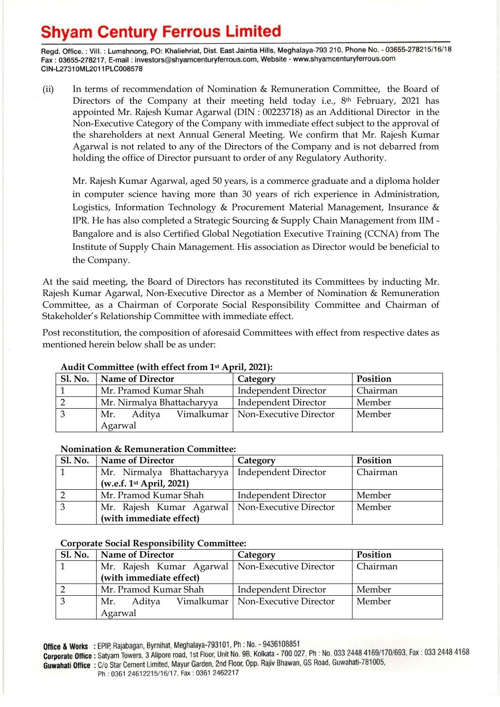# **Shyam Century Ferrous Limited**

Regd. Office.: Vill.: Lumshnong, PO: Khaliehriat, Dist. East Jaintia Hills, Meghalaya-793 210, Phone No. - 03655-278215/16/18 Fax: 03655-278217, E-mail: investors@shyamcenturyferrous.com, Website - www.shyamcenturyferrous.com CIN-L27310ML2011PLC008578

(ii) In terms of recommendation of Nomination & Remuneration Committee, the Board of Directors of the Company at their meeting held today i.e., 8<sup>th</sup> February, 2021 has appointed Mr. Rajesh Kumar Agarwal (DIN : 00223718) as an Additional Director in the Non-Executive Category of the Company with immediate effect subject to the approval of the shareholders at next Annual General Meeting. We confirm that Mr. Rajesh Kumar Agarwal is not related to any of the Directors of the Company and is not debarred from holding the office of Director pursuant to order of any Regulatory Authority.

Mr. Rajesh Kumar Agarwal, aged 50 years, is a commerce graduate and a diploma holder in computer science having more than 30 years of rich experience in Administration, Logistics, Information Technology & Procurement Material Management, Insurance & IPR. He has also completed a Strategic Sourcing & Supply Chain Management from IIM - Bangalore and is also Certified Global Negotiation Executive Training (CCNA) from The Institute of Supply Chain Management. His association as Director would be beneficial to the Company.

At the said meeting, the Board of Directors has reconstituted its Committees by inducting Mr. Rajesh Kumar Agarwal, Non-Executive Director as a Member of Nomination & Remuneration Committee, as a Chairman of Corporate Social Responsibility Committee and Chairman of Stakeholder's Relationship Committee with immediate effect.

Post reconstitution, the composition of aforesaid Committees with effect from respective dates as mentioned herein below shall be as under:

| <b>Sl. No.</b> | <b>Name of Director</b>    | Category                            | Position |  |  |
|----------------|----------------------------|-------------------------------------|----------|--|--|
|                | Mr. Pramod Kumar Shah      | <b>Independent Director</b>         | Chairman |  |  |
|                | Mr. Nirmalya Bhattacharyya | <b>Independent Director</b>         | Member   |  |  |
|                | Aditva<br>Mr.              | Vimalkumar   Non-Executive Director | Member   |  |  |
|                | Agarwal                    |                                     |          |  |  |

## **Audit Committee (with effect from 1st April, 2021):**

#### **Nomination & Remuneration Committee:**

| <b>Sl. No.</b> | Name of Director                                  | Category                    | Position |
|----------------|---------------------------------------------------|-----------------------------|----------|
|                | Mr. Nirmalya Bhattacharyya   Independent Director |                             | Chairman |
|                | (w.e.f. 1 <sup>st</sup> April, 2021)              |                             |          |
|                | Mr. Pramod Kumar Shah                             | <b>Independent Director</b> | Member   |
|                | Mr. Rajesh Kumar Agarwal   Non-Executive Director |                             | Member   |
|                | (with immediate effect)                           |                             |          |

### **Corporate Social Responsibility Committee:**

| <b>Sl. No.</b> | <b>Name of Director</b>                           | Category                            | Position |
|----------------|---------------------------------------------------|-------------------------------------|----------|
|                | Mr. Rajesh Kumar Agarwal   Non-Executive Director |                                     | Chairman |
|                | (with immediate effect)                           |                                     |          |
|                | Mr. Pramod Kumar Shah                             | Independent Director                | Member   |
|                | Aditya<br>Mr.                                     | Vimalkumar   Non-Executive Director | Member   |
|                | Agarwal                                           |                                     |          |

Office & Works : EPIP, Rajabagan, Byrnihat, Meghalaya-793101, Ph : No. - 9436108851

**Corporate Office :** Satyam Towers, 3 Alipore road, 1st Floor, Unit No. 9B, Kolkata - 700 027, Ph : No. 033 2448 4169/170/693, Fax : 033 2448 4168 Guwahati Office: C/o Star Cement Limited, Mayur Garden, 2nd Floor, Opp. Rajiv Bhawan, GS Road, Guwahati-781005,